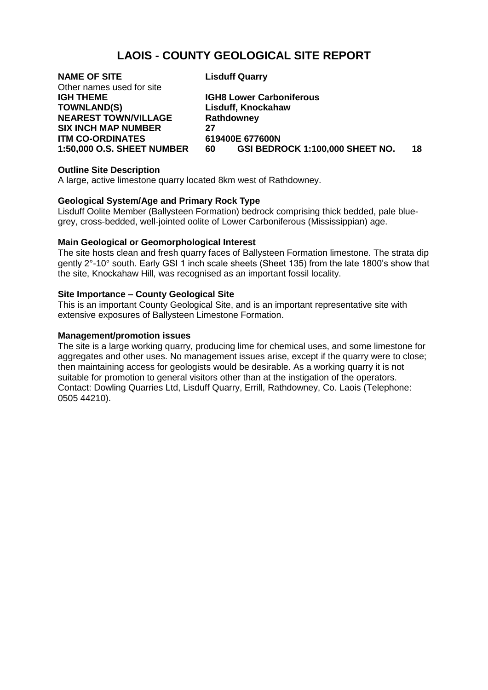# **LAOIS - COUNTY GEOLOGICAL SITE REPORT**

| <b>NAME OF SITE</b>               | <b>Lisduff Quarry</b>    |
|-----------------------------------|--------------------------|
| Other names used for site         |                          |
| <b>IGH THEME</b>                  | <b>IGH8 Lower Carbon</b> |
| <b>TOWNLAND(S)</b>                | Lisduff, Knockahaw       |
| <b>NEAREST TOWN/VILLAGE</b>       | Rathdowney               |
| <b>SIX INCH MAP NUMBER</b>        | 27                       |
| <b>ITM CO-ORDINATES</b>           | 619400E 677600N          |
| <b>1:50,000 O.S. SHEET NUMBER</b> | <b>GSI BEDRO</b><br>60   |
|                                   |                          |

**I**arboniferous **1:50,000 O.S. SHEET NUMBER 60 GSI BEDROCK 1:100,000 SHEET NO. 18**

## **Outline Site Description**

A large, active limestone quarry located 8km west of Rathdowney.

## **Geological System/Age and Primary Rock Type**

Lisduff Oolite Member (Ballysteen Formation) bedrock comprising thick bedded, pale bluegrey, cross-bedded, well-jointed oolite of Lower Carboniferous (Mississippian) age.

#### **Main Geological or Geomorphological Interest**

The site hosts clean and fresh quarry faces of Ballysteen Formation limestone. The strata dip gently 2°-10° south. Early GSI 1 inch scale sheets (Sheet 135) from the late 1800's show that the site, Knockahaw Hill, was recognised as an important fossil locality.

#### **Site Importance – County Geological Site**

This is an important County Geological Site, and is an important representative site with extensive exposures of Ballysteen Limestone Formation.

#### **Management/promotion issues**

The site is a large working quarry, producing lime for chemical uses, and some limestone for aggregates and other uses. No management issues arise, except if the quarry were to close; then maintaining access for geologists would be desirable. As a working quarry it is not suitable for promotion to general visitors other than at the instigation of the operators. Contact: Dowling Quarries Ltd, Lisduff Quarry, Errill, Rathdowney, Co. Laois (Telephone: 0505 44210).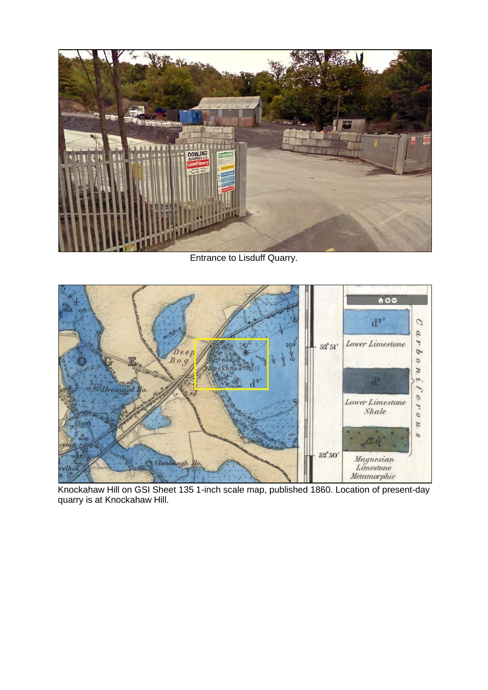

Entrance to Lisduff Quarry.



Knockahaw Hill on GSI Sheet 135 1-inch scale map, published 1860. Location of present-day quarry is at Knockahaw Hill.